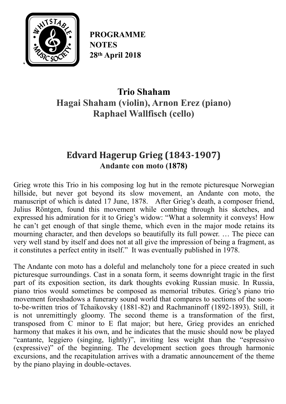

**PROGRAMME NOTES 28th April 2018**

# **Trio Shaham Hagai Shaham (violin), Arnon Erez (piano) Raphael Wallfisch (cello)**

## Edvard Hagerup Grieg (1843-1907) **Andante con moto (1878)**

Grieg wrote this Trio in his composing log hut in the remote picturesque Norwegian hillside, but never got beyond its slow movement, an Andante con moto, the manuscript of which is dated 17 June, 1878. After Grieg's death, a composer friend, Julius Röntgen, found this movement while combing through his sketches, and expressed his admiration for it to Grieg's widow: "What a solemnity it conveys! How he can't get enough of that single theme, which even in the major mode retains its mourning character, and then develops so beautifully its full power. … The piece can very well stand by itself and does not at all give the impression of being a fragment, as it constitutes a perfect entity in itself." It was eventually published in 1978.

The Andante con moto has a doleful and melancholy tone for a piece created in such picturesque surroundings. Cast in a sonata form, it seems downright tragic in the first part of its exposition section, its dark thoughts evoking Russian music. In Russia, piano trios would sometimes be composed as memorial tributes. Grieg's piano trio movement foreshadows a funerary sound world that compares to sections of the soonto-be-written trios of Tchaikovsky (1881-82) and Rachmaninoff (1892-1893). Still, it is not unremittingly gloomy. The second theme is a transformation of the first, transposed from C minor to E flat major; but here, Grieg provides an enriched harmony that makes it his own, and he indicates that the music should now be played "cantante, leggiero (singing, lightly)", inviting less weight than the "espressivo (expressive)" of the beginning. The development section goes through harmonic excursions, and the recapitulation arrives with a dramatic announcement of the theme by the piano playing in double-octaves.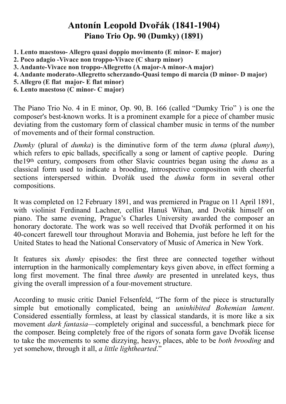## **Antonín Leopold Dvořák (1841-1904) Piano Trio Op. 90 (Dumky) (1891)**

- **1. Lento maestoso- Allegro quasi doppio movimento (E minor- E major)**
- **2. Poco adagio -Vivace non troppo-Vivace (C sharp minor)**
- **3. Andante-Vivace non troppo-Allegretto (A major-A minor-A major)**
- **4. Andante moderato-Allegretto scherzando-Quasi tempo di marcia (D minor- D major)**
- **5. Allegro (E flat major- E flat minor)**
- **6. Lento maestoso (C minor- C major)**

The Piano Trio No. 4 in [E minor,](https://en.wikipedia.org/wiki/E_minor) [Op.](https://en.wikipedia.org/wiki/Opus_number) 90, [B.](https://en.wikipedia.org/wiki/Jarmil_Burghauser) 166 (called "Dumky Trio" ) is one the composer's best-known works. It is a prominent example for a piece of chamber music deviating from the customary form of classical chamber music in terms of the number of movements and of their formal construction.

*Dumky* (plural of *[dumka](https://en.wikipedia.org/wiki/Dumka_(musical_genre))*) is the diminutive form of the term *[duma](https://en.wikipedia.org/wiki/Duma)* (plural *dumy*), which refers to epic ballads, specifically a song or lament of captive people. During the19th century, composers from other Slavic countries began using the *duma* as a classical form used to indicate a brooding, introspective composition with cheerful sections interspersed within. Dvořák used the *dumka* form in several other compositions.

It was completed on 12 February 1891, and was premiered in Prague on 11 April 1891, with violinist Ferdinand Lachner, cellist Hanuš Wihan, and Dvořák himself on piano. The same evening, Prague's [Charles University](https://en.wikipedia.org/wiki/Charles_University) awarded the composer an honorary doctorate. The work was so well received that Dvořák performed it on his 40-concert farewell tour throughout Moravia and Bohemia, just before he left for the United States to head the [National Conservatory of Music of America](https://en.wikipedia.org/wiki/National_Conservatory_of_Music_of_America) in New York.

It features six *dumky* episodes: the first three are connected together without interruption in the harmonically complementary keys given above, in effect forming a long first movement. The final three *dumky* are presented in unrelated keys, thus giving the overall impression of a four-movement structure.

According to music critic Daniel Felsenfeld, "The form of the piece is structurally simple but emotionally complicated, being an *uninhibited Bohemian lament*. Considered essentially formless, at least by classical standards, it is more like a six movement *dark fantasia*—completely original and successful, a benchmark piece for the composer. Being completely free of the rigors of sonata form gave Dvořák license to take the movements to some dizzying, heavy, places, able to be *both brooding* and yet somehow, through it all, *a little lighthearted*."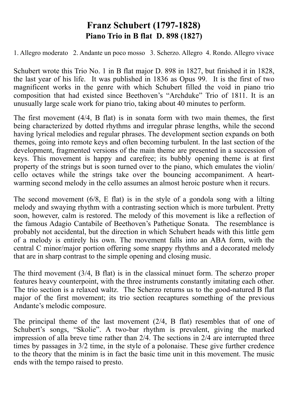## **Franz Schubert (1797-1828) Piano Trio in B flat D. 898 (1827)**

1. [Allegro](https://en.wikipedia.org/wiki/Tempo#Italian_tempo_markings) moderato 2. [Andante](https://en.wikipedia.org/wiki/Tempo#Italian_tempo_markings) un poco mosso 3. [Scherzo](https://en.wikipedia.org/wiki/Scherzo). Allegro 4. [Rondo.](https://en.wikipedia.org/wiki/Rondo) Allegro vivace

Schubert wrote this Trio No. 1 in B flat major [D.](https://en.wikipedia.org/wiki/Otto_Erich_Deutsch) 898 in [1827](https://en.wikipedia.org/wiki/1827_in_music), but finished it in 1828, the last year of his life. It was published in 1836 as [Opus](https://en.wikipedia.org/wiki/Opus_number) 99. It is the first of two magnificent works in the genre with which [Schubert](https://www.allmusic.com/artist/schubert-mn0000691239) filled the void in piano trio composition that had existed since [Beethoven](https://www.allmusic.com/artist/beethoven-mn0000536126)'s "Archduke" Trio of 1811. It is an unusually large scale work for piano trio, taking about 40 minutes to perform.

The first movement  $(4/4, B)$  flat) is in sonata form with two main themes, the first being characterized by dotted rhythms and irregular phrase lengths, while the second having lyrical melodies and regular phrases. The development section expands on both themes, going into remote keys and often becoming turbulent. In the last section of the development, fragmented versions of the main theme are presented in a succession of keys. This movement is happy and carefree; its bubbly opening theme is at first property of the strings but is soon turned over to the piano, which emulates the violin/ cello octaves while the strings take over the bouncing accompaniment. A heartwarming second melody in the cello assumes an almost heroic posture when it recurs.

The second movement  $(6/8, E)$  flat) is in the style of a gondola song with a lilting melody and swaying rhythm with a contrasting section which is more turbulent. Pretty soon, however, calm is restored. The melody of this movement is like a reflection of the famous Adagio Cantabile of [Beethoven'](https://www.allmusic.com/artist/beethoven-mn0000536126)s Pathetique Sonata. The resemblance is probably not accidental, but the direction in which [Schubert](https://www.allmusic.com/artist/schubert-mn0000691239) heads with this little gem of a melody is entirely his own. The movement falls into an ABA form, with the central C minor/major portion offering some snappy rhythms and a decorated melody that are in sharp contrast to the simple opening and closing music.

The third movement (3/4, B flat) is in the classical [minuet](https://en.wikipedia.org/wiki/Minuet) form. The scherzo proper features heavy counterpoint, with the three instruments constantly imitating each other. The trio section is a relaxed [waltz](https://en.wikipedia.org/wiki/Waltz). The Scherzo returns us to the good-natured B flat major of the first movement; its trio section recaptures something of the previous Andante's melodic composure.

The principal theme of the last movement (2/4, B flat) resembles that of one of Schubert's songs, "Skolie". A two-bar rhythm is prevalent, giving the marked impression of alla breve time rather than 2/4. The sections in 2/4 are interrupted three times by passages in 3/2 time, in the style of a polonaise. These give further credence to the theory that the [minim](https://en.wikipedia.org/wiki/Minim_(music)) is in fact the basic time unit in this movement. The music ends with the tempo raised to presto.